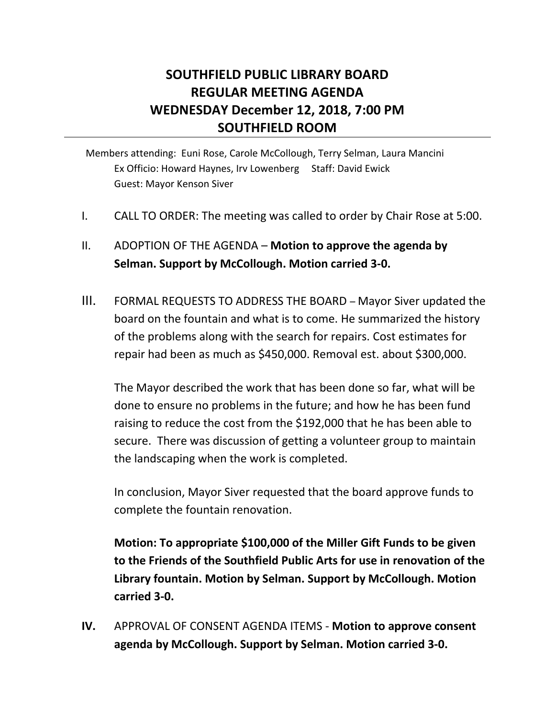# **SOUTHFIELD PUBLIC LIBRARY BOARD REGULAR MEETING AGENDA WEDNESDAY December 12, 2018, 7:00 PM SOUTHFIELD ROOM**

Members attending: Euni Rose, Carole McCollough, Terry Selman, Laura Mancini Ex Officio: Howard Haynes, Irv Lowenberg Staff: David Ewick Guest: Mayor Kenson Siver

I. CALL TO ORDER: The meeting was called to order by Chair Rose at 5:00.

## II. ADOPTION OF THE AGENDA – **Motion to approve the agenda by Selman. Support by McCollough. Motion carried 3-0.**

III. FORMAL REQUESTS TO ADDRESS THE BOARD – Mayor Siver updated the board on the fountain and what is to come. He summarized the history of the problems along with the search for repairs. Cost estimates for repair had been as much as \$450,000. Removal est. about \$300,000.

The Mayor described the work that has been done so far, what will be done to ensure no problems in the future; and how he has been fund raising to reduce the cost from the \$192,000 that he has been able to secure. There was discussion of getting a volunteer group to maintain the landscaping when the work is completed.

In conclusion, Mayor Siver requested that the board approve funds to complete the fountain renovation.

**Motion: To appropriate \$100,000 of the Miller Gift Funds to be given to the Friends of the Southfield Public Arts for use in renovation of the Library fountain. Motion by Selman. Support by McCollough. Motion carried 3-0.** 

**IV.** APPROVAL OF CONSENT AGENDA ITEMS - **Motion to approve consent agenda by McCollough. Support by Selman. Motion carried 3-0.**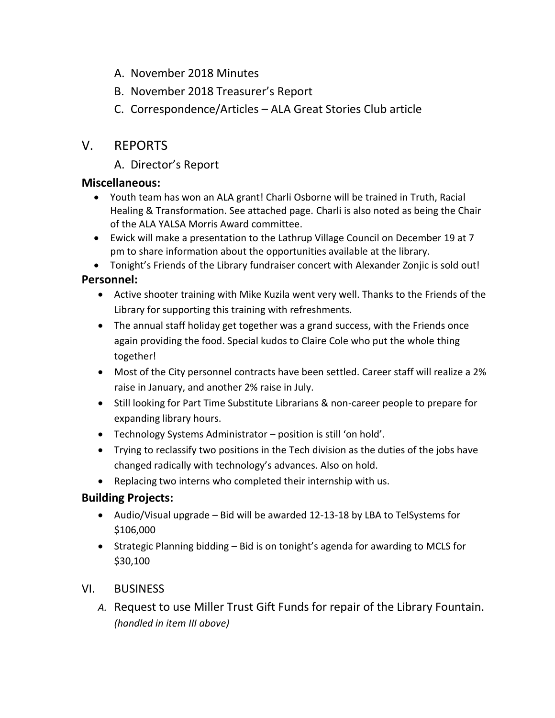- A. November 2018 Minutes
- B. November 2018 Treasurer's Report
- C. Correspondence/Articles ALA Great Stories Club article

## V. REPORTS

A. Director's Report

### **Miscellaneous:**

- Youth team has won an ALA grant! Charli Osborne will be trained in Truth, Racial Healing & Transformation. See attached page. Charli is also noted as being the Chair of the ALA YALSA Morris Award committee.
- Ewick will make a presentation to the Lathrup Village Council on December 19 at 7 pm to share information about the opportunities available at the library.
- Tonight's Friends of the Library fundraiser concert with Alexander Zonjic is sold out! **Personnel:**

- Active shooter training with Mike Kuzila went very well. Thanks to the Friends of the Library for supporting this training with refreshments.
- The annual staff holiday get together was a grand success, with the Friends once again providing the food. Special kudos to Claire Cole who put the whole thing together!
- Most of the City personnel contracts have been settled. Career staff will realize a 2% raise in January, and another 2% raise in July.
- Still looking for Part Time Substitute Librarians & non-career people to prepare for expanding library hours.
- Technology Systems Administrator position is still 'on hold'.
- Trying to reclassify two positions in the Tech division as the duties of the jobs have changed radically with technology's advances. Also on hold.
- Replacing two interns who completed their internship with us.

## **Building Projects:**

- Audio/Visual upgrade Bid will be awarded 12-13-18 by LBA to TelSystems for \$106,000
- Strategic Planning bidding Bid is on tonight's agenda for awarding to MCLS for \$30,100

### VI. BUSINESS

*A.* Request to use Miller Trust Gift Funds for repair of the Library Fountain. *(handled in item III above)*